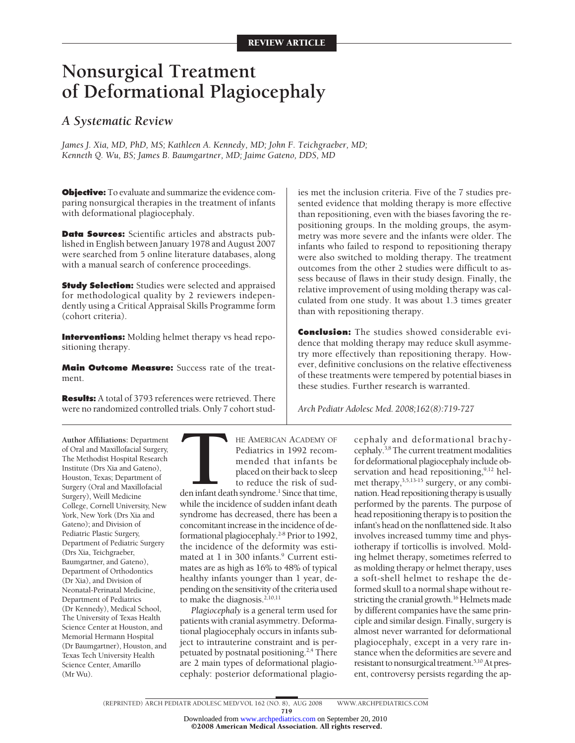# **Nonsurgical Treatment of Deformational Plagiocephaly**

# *A Systematic Review*

*James J. Xia, MD, PhD, MS; Kathleen A. Kennedy, MD; John F. Teichgraeber, MD; Kenneth Q. Wu, BS; James B. Baumgartner, MD; Jaime Gateno, DDS, MD*

**Objective:** To evaluate and summarize the evidence comparing nonsurgical therapies in the treatment of infants with deformational plagiocephaly.

**Data Sources:** Scientific articles and abstracts published in English between January 1978 and August 2007 were searched from 5 online literature databases, along with a manual search of conference proceedings.

**Study Selection:** Studies were selected and appraised for methodological quality by 2 reviewers independently using a Critical Appraisal Skills Programme form (cohort criteria).

**Interventions:** Molding helmet therapy vs head repositioning therapy.

**Main Outcome Measure:** Success rate of the treatment.

**Results:** A total of 3793 references were retrieved. There were no randomized controlled trials. Only 7 cohort stud-

ies met the inclusion criteria. Five of the 7 studies presented evidence that molding therapy is more effective than repositioning, even with the biases favoring the repositioning groups. In the molding groups, the asymmetry was more severe and the infants were older. The infants who failed to respond to repositioning therapy were also switched to molding therapy. The treatment outcomes from the other 2 studies were difficult to assess because of flaws in their study design. Finally, the relative improvement of using molding therapy was calculated from one study. It was about 1.3 times greater than with repositioning therapy.

**Conclusion:** The studies showed considerable evidence that molding therapy may reduce skull asymmetry more effectively than repositioning therapy. However, definitive conclusions on the relative effectiveness of these treatments were tempered by potential biases in these studies. Further research is warranted.

*Arch Pediatr Adolesc Med. 2008;162(8):719-727*

**Author Affiliations:** Department of Oral and Maxillofacial Surgery, The Methodist Hospital Research Institute (Drs Xia and Gateno), Houston, Texas; Department of Surgery (Oral and Maxillofacial Surgery), Weill Medicine College, Cornell University, New York, New York (Drs Xia and Gateno); and Division of Pediatric Plastic Surgery, Department of Pediatric Surgery (Drs Xia, Teichgraeber, Baumgartner, and Gateno), Department of Orthodontics (Dr Xia), and Division of Neonatal-Perinatal Medicine, Department of Pediatrics (Dr Kennedy), Medical School, The University of Texas Health Science Center at Houston, and Memorial Hermann Hospital (Dr Baumgartner), Houston, and Texas Tech University Health Science Center, Amarillo (Mr Wu).

THE AMERICAN ACADEMY OF<br>
Pediatrics in 1992 recommended that infants be<br>
placed on their back to sleep<br>
to reduce the risk of sud-<br>
den infant death syndrome.<sup>1</sup> Since that time,<br>
while the incidence of sudden infant death Pediatrics in 1992 recommended that infants be placed on their back to sleep to reduce the risk of sudwhile the incidence of sudden infant death syndrome has decreased, there has been a

concomitant increase in the incidence of deformational plagiocephaly.<sup>2-8</sup> Prior to 1992, the incidence of the deformity was estimated at 1 in 300 infants.<sup>9</sup> Current estimates are as high as 16% to 48% of typical healthy infants younger than 1 year, depending on the sensitivity of the criteria used to make the diagnosis. $2,10,11$ 

*Plagiocephaly* is a general term used for patients with cranial asymmetry. Deformational plagiocephaly occurs in infants subject to intrauterine constraint and is perpetuated by postnatal positioning.<sup>2,4</sup> There are 2 main types of deformational plagiocephaly: posterior deformational plagio-

cephaly and deformational brachycephaly.3,8The current treatment modalities for deformational plagiocephaly include observation and head repositioning, $9,12$  helmet therapy,  $3,5,13-15$  surgery, or any combination. Head repositioning therapy is usually performed by the parents. The purpose of head repositioning therapy is to position the infant's head on the nonflattened side. It also involves increased tummy time and physiotherapy if torticollis is involved. Molding helmet therapy, sometimes referred to as molding therapy or helmet therapy, uses a soft-shell helmet to reshape the deformed skull to a normal shape without restricting the cranial growth.<sup>16</sup> Helmets made by different companies have the same principle and similar design. Finally, surgery is almost never warranted for deformational plagiocephaly, except in a very rare instance when the deformities are severe and resistant to nonsurgical treatment.<sup>5,10</sup> At present, controversy persists regarding the ap-

719

Downloaded from [www.archpediatrics.com](http://www.archpediatrics.com) on September 20, 2010

©2008 American Medical Association. All rights reserved.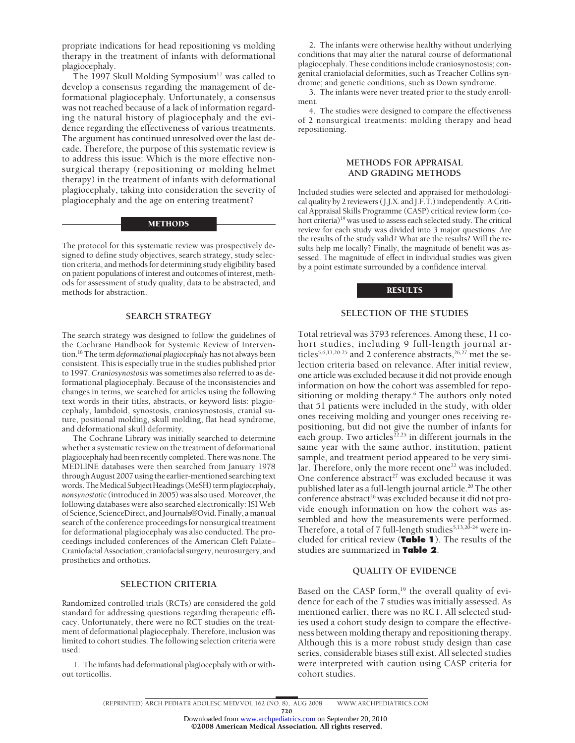propriate indications for head repositioning vs molding therapy in the treatment of infants with deformational plagiocephaly.

The 1997 Skull Molding Symposium<sup>17</sup> was called to develop a consensus regarding the management of deformational plagiocephaly. Unfortunately, a consensus was not reached because of a lack of information regarding the natural history of plagiocephaly and the evidence regarding the effectiveness of various treatments. The argument has continued unresolved over the last decade. Therefore, the purpose of this systematic review is to address this issue: Which is the more effective nonsurgical therapy (repositioning or molding helmet therapy) in the treatment of infants with deformational plagiocephaly, taking into consideration the severity of plagiocephaly and the age on entering treatment?

## **METHODS**

The protocol for this systematic review was prospectively designed to define study objectives, search strategy, study selection criteria, and methods for determining study eligibility based on patient populations of interest and outcomes of interest, methods for assessment of study quality, data to be abstracted, and methods for abstraction.

### **SEARCH STRATEGY**

The search strategy was designed to follow the guidelines of the Cochrane Handbook for Systemic Review of Intervention.18 The term *deformational plagiocephaly* has not always been consistent. This is especially true in the studies published prior to 1997. *Craniosynostosis* was sometimes also referred to as deformational plagiocephaly. Because of the inconsistencies and changes in terms, we searched for articles using the following text words in their titles, abstracts, or keyword lists: plagiocephaly, lambdoid, synostosis, craniosynostosis, cranial suture, positional molding, skull molding, flat head syndrome, and deformational skull deformity.

The Cochrane Library was initially searched to determine whether a systematic review on the treatment of deformational plagiocephaly had been recently completed. There was none. The MEDLINE databases were then searched from January 1978 through August 2007 using the earlier-mentioned searching text words.TheMedicalSubjectHeadings (MeSH) term*plagiocephaly, nonsynostoti*c (introducedin 2005) was also used.Moreover, the following databases were also searched electronically: ISI Web of Science, ScienceDirect, and Journals@Ovid. Finally, a manual search of the conference proceedings for nonsurgical treatment for deformational plagiocephaly was also conducted. The proceedings included conferences of the American Cleft Palate– CraniofacialAssociation, craniofacial surgery, neurosurgery, and prosthetics and orthotics.

## **SELECTION CRITERIA**

Randomized controlled trials (RCTs) are considered the gold standard for addressing questions regarding therapeutic efficacy. Unfortunately, there were no RCT studies on the treatment of deformational plagiocephaly. Therefore, inclusion was limited to cohort studies. The following selection criteria were used:

1. The infants had deformational plagiocephaly with or without torticollis.

2. The infants were otherwise healthy without underlying conditions that may alter the natural course of deformational plagiocephaly. These conditions include craniosynostosis; congenital craniofacial deformities, such as Treacher Collins syndrome; and genetic conditions, such as Down syndrome.

3. The infants were never treated prior to the study enrollment.

4. The studies were designed to compare the effectiveness of 2 nonsurgical treatments: molding therapy and head repositioning.

## **METHODS FOR APPRAISAL AND GRADING METHODS**

Included studies were selected and appraised for methodological quality by 2 reviewers (J.J.X. and J.F.T.) independently. A Critical Appraisal Skills Programme (CASP) critical review form (cohort criteria)<sup>19</sup> was used to assess each selected study. The critical review for each study was divided into 3 major questions: Are the results of the study valid? What are the results? Will the results help me locally? Finally, the magnitude of benefit was assessed. The magnitude of effect in individual studies was given by a point estimate surrounded by a confidence interval.

#### RESULTS

## **SELECTION OF THE STUDIES**

Total retrieval was 3793 references. Among these, 11 cohort studies, including 9 full-length journal articles<sup>5,6,13,20-25</sup> and 2 conference abstracts,  $26,27$  met the selection criteria based on relevance. After initial review, one article was excluded because it did not provide enough information on how the cohort was assembled for repositioning or molding therapy.<sup>6</sup> The authors only noted that 51 patients were included in the study, with older ones receiving molding and younger ones receiving repositioning, but did not give the number of infants for each group. Two articles<sup>22,25</sup> in different journals in the same year with the same author, institution, patient sample, and treatment period appeared to be very similar. Therefore, only the more recent one<sup>22</sup> was included. One conference abstract<sup>27</sup> was excluded because it was published later as a full-length journal article.<sup>20</sup> The other conference abstract<sup>26</sup> was excluded because it did not provide enough information on how the cohort was assembled and how the measurements were performed. Therefore, a total of 7 full-length studies<sup>5,13,20-24</sup> were included for critical review (**Table 1**). The results of the studies are summarized in **Table 2**.

## **QUALITY OF EVIDENCE**

Based on the CASP form,<sup>19</sup> the overall quality of evidence for each of the 7 studies was initially assessed. As mentioned earlier, there was no RCT. All selected studies used a cohort study design to compare the effectiveness between molding therapy and repositioning therapy. Although this is a more robust study design than case series, considerable biases still exist. All selected studies were interpreted with caution using CASP criteria for cohort studies.

720

<sup>(</sup>REPRINTED) ARCH PEDIATR ADOLESC MED/ VOL 162 (NO. 8), AUG 2008 WWW.ARCHPEDIATRICS.COM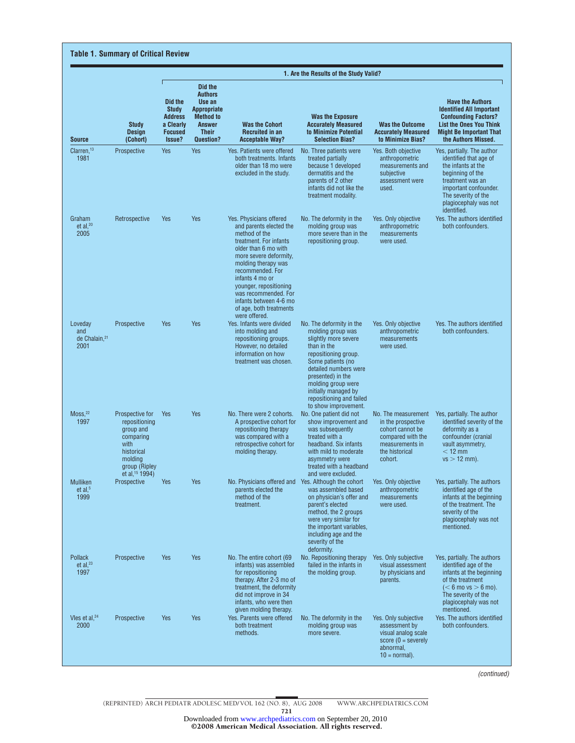|                                                     |                                                                                                                                 | 1. Are the Results of the Study Valid?                                                                                                                                                                                          |            |                                                                                                                                                                                                                                                                                                                                       |                                                                                                                                                                                                                                                                                   |                                                                                                                                    |                                                                                                                                                                                                                                                                                                                                                                                                    |  |  |
|-----------------------------------------------------|---------------------------------------------------------------------------------------------------------------------------------|---------------------------------------------------------------------------------------------------------------------------------------------------------------------------------------------------------------------------------|------------|---------------------------------------------------------------------------------------------------------------------------------------------------------------------------------------------------------------------------------------------------------------------------------------------------------------------------------------|-----------------------------------------------------------------------------------------------------------------------------------------------------------------------------------------------------------------------------------------------------------------------------------|------------------------------------------------------------------------------------------------------------------------------------|----------------------------------------------------------------------------------------------------------------------------------------------------------------------------------------------------------------------------------------------------------------------------------------------------------------------------------------------------------------------------------------------------|--|--|
| <b>Source</b>                                       | <b>Study</b><br><b>Design</b><br>(Cohort)                                                                                       | Did the<br><b>Authors</b><br>Use an<br>Did the<br><b>Study</b><br><b>Appropriate</b><br><b>Method to</b><br><b>Address</b><br>a Clearly<br><b>Answer</b><br><b>Focused</b><br><b>Their</b><br>Issue?<br>Question?<br>Yes<br>Yes |            | <b>Was the Cohort</b><br><b>Recruited in an</b><br><b>Acceptable Way?</b>                                                                                                                                                                                                                                                             | <b>Was the Exposure</b><br><b>Accurately Measured</b><br>to Minimize Potential<br><b>Selection Bias?</b>                                                                                                                                                                          | <b>Was the Outcome</b><br><b>Accurately Measured</b><br>to Minimize Bias?                                                          | <b>Have the Authors</b><br><b>Identified All Important</b><br><b>Confounding Factors?</b><br><b>List the Ones You Think</b><br><b>Might Be Important That</b><br>the Authors Missed.<br>Yes, partially. The author<br>identified that age of<br>the infants at the<br>beginning of the<br>treatment was an<br>important confounder.<br>The severity of the<br>plagiocephaly was not<br>identified. |  |  |
| Clarren, <sup>13</sup><br>1981                      | Prospective                                                                                                                     |                                                                                                                                                                                                                                 |            | Yes. Patients were offered<br>both treatments. Infants<br>older than 18 mo were<br>excluded in the study.                                                                                                                                                                                                                             | No. Three patients were<br>treated partially<br>because 1 developed<br>dermatitis and the<br>parents of 2 other<br>infants did not like the<br>treatment modality.                                                                                                                | Yes. Both objective<br>anthropometric<br>measurements and<br>subjective<br>assessment were<br>used.                                |                                                                                                                                                                                                                                                                                                                                                                                                    |  |  |
| Graham<br>et al, $20$<br>2005                       | Retrospective                                                                                                                   | Yes                                                                                                                                                                                                                             | <b>Yes</b> | Yes. Physicians offered<br>and parents elected the<br>method of the<br>treatment. For infants<br>older than 6 mo with<br>more severe deformity,<br>molding therapy was<br>recommended. For<br>infants 4 mo or<br>younger, repositioning<br>was recommended. For<br>infants between 4-6 mo<br>of age, both treatments<br>were offered. | No. The deformity in the<br>molding group was<br>more severe than in the<br>repositioning group.                                                                                                                                                                                  | Yes. Only objective<br>anthropometric<br>measurements<br>were used.                                                                | Yes. The authors identified<br>both confounders.                                                                                                                                                                                                                                                                                                                                                   |  |  |
| Loveday<br>and<br>de Chalain, <sup>21</sup><br>2001 | Prospective                                                                                                                     | Yes                                                                                                                                                                                                                             | Yes        | Yes. Infants were divided<br>into molding and<br>repositioning groups.<br>However, no detailed<br>information on how<br>treatment was chosen.                                                                                                                                                                                         | No. The deformity in the<br>molding group was<br>slightly more severe<br>than in the<br>repositioning group.<br>Some patients (no<br>detailed numbers were<br>presented) in the<br>molding group were<br>initially managed by<br>repositioning and failed<br>to show improvement. | Yes. Only objective<br>anthropometric<br>measurements<br>were used.                                                                | Yes. The authors identified<br>both confounders.                                                                                                                                                                                                                                                                                                                                                   |  |  |
| $M$ oss, $22$<br>1997                               | Prospective for<br>repositioning<br>group and<br>comparing<br>with<br>historical<br>molding<br>group (Ripley<br>et al, 15 1994) | Yes                                                                                                                                                                                                                             | Yes        | No. There were 2 cohorts.<br>A prospective cohort for<br>repositioning therapy<br>was compared with a<br>retrospective cohort for<br>molding therapy.                                                                                                                                                                                 | No. One patient did not<br>show improvement and<br>was subsequently<br>treated with a<br>headband. Six infants<br>with mild to moderate<br>asymmetry were<br>treated with a headband<br>and were excluded.                                                                        | No. The measurement<br>in the prospective<br>cohort cannot be<br>compared with the<br>measurements in<br>the historical<br>cohort. | Yes, partially. The author<br>identified severity of the<br>deformity as a<br>confounder (cranial<br>vault asymmetry,<br>$<$ 12 mm<br>$vs > 12$ mm).                                                                                                                                                                                                                                               |  |  |
| Mulliken<br>et al, $5$<br>1999                      | Prospective                                                                                                                     | Yes                                                                                                                                                                                                                             | Yes        | No. Physicians offered and Yes. Although the cohort<br>parents elected the<br>method of the<br>treatment.                                                                                                                                                                                                                             | was assembled based<br>on physician's offer and<br>parent's elected<br>method, the 2 groups<br>were very similar for<br>the important variables,<br>including age and the<br>severity of the<br>deformity.                                                                        | Yes. Only objective<br>anthropometric<br>measurements<br>were used.                                                                | Yes, partially. The authors<br>identified age of the<br>infants at the beginning<br>of the treatment. The<br>severity of the<br>plagiocephaly was not<br>mentioned.                                                                                                                                                                                                                                |  |  |
| Pollack<br>et al, $^{23}$<br>1997                   | Prospective                                                                                                                     | Yes                                                                                                                                                                                                                             | Yes        | No. The entire cohort (69<br>infants) was assembled<br>for repositioning<br>therapy. After 2-3 mo of<br>treatment, the deformity<br>did not improve in 34<br>infants, who were then<br>given molding therapy.                                                                                                                         | No. Repositioning therapy<br>failed in the infants in<br>the molding group.                                                                                                                                                                                                       | Yes. Only subjective<br>visual assessment<br>by physicians and<br>parents.                                                         | Yes, partially. The authors<br>identified age of the<br>infants at the beginning<br>of the treatment<br>$(< 6$ mo vs $> 6$ mo).<br>The severity of the<br>plagiocephaly was not<br>mentioned.                                                                                                                                                                                                      |  |  |
| Vles et al, $^{24}$<br>2000                         | Prospective                                                                                                                     | Yes                                                                                                                                                                                                                             | Yes        | Yes. Parents were offered<br>both treatment<br>methods.                                                                                                                                                                                                                                                                               | No. The deformity in the<br>molding group was<br>more severe.                                                                                                                                                                                                                     | Yes. Only subjective<br>assessment by<br>visual analog scale<br>score $(0 =$ severely<br>abnormal,<br>$10 = normal$ ).             | Yes. The authors identified<br>both confounders.                                                                                                                                                                                                                                                                                                                                                   |  |  |

*(continued)*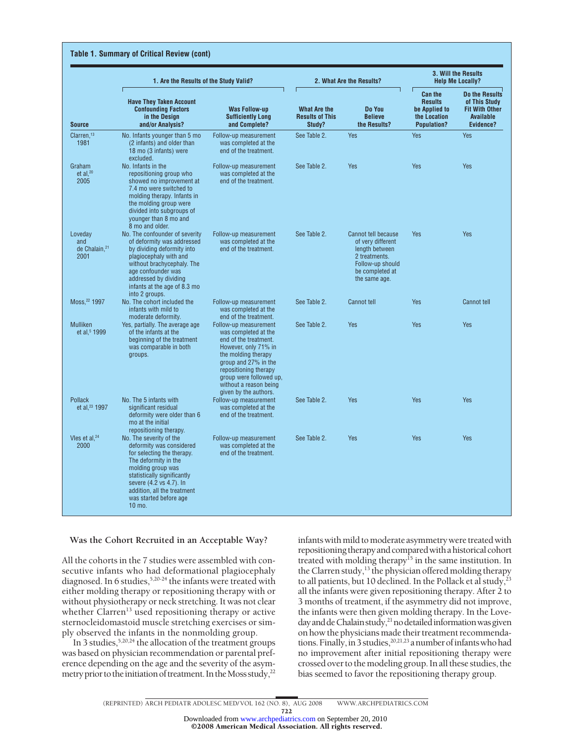|                                                     | 1. Are the Results of the Study Valid?                                                                                                                                                                                                                                 |                                                                                                                                                                                                                                                      | 2. What Are the Results?                                | 3. Will the Results<br><b>Help Me Locally?</b>                                                                                      |                                                                                         |                                                                                                  |
|-----------------------------------------------------|------------------------------------------------------------------------------------------------------------------------------------------------------------------------------------------------------------------------------------------------------------------------|------------------------------------------------------------------------------------------------------------------------------------------------------------------------------------------------------------------------------------------------------|---------------------------------------------------------|-------------------------------------------------------------------------------------------------------------------------------------|-----------------------------------------------------------------------------------------|--------------------------------------------------------------------------------------------------|
| <b>Source</b>                                       | <b>Have They Taken Account</b><br><b>Confounding Factors</b><br>in the Design<br>and/or Analysis?                                                                                                                                                                      | <b>Was Follow-up</b><br><b>Sufficiently Long</b><br>and Complete?                                                                                                                                                                                    | <b>What Are the</b><br><b>Results of This</b><br>Study? | Do You<br><b>Believe</b><br>the Results?                                                                                            | <b>Can the</b><br><b>Results</b><br>be Applied to<br>the Location<br><b>Population?</b> | Do the Results<br>of This Study<br><b>Fit With Other</b><br><b>Available</b><br><b>Evidence?</b> |
| Clarren, <sup>13</sup><br>1981                      | No. Infants younger than 5 mo<br>(2 infants) and older than<br>18 mo (3 infants) were<br>excluded.                                                                                                                                                                     | Follow-up measurement<br>was completed at the<br>end of the treatment.                                                                                                                                                                               | See Table 2.                                            | Yes                                                                                                                                 | Yes                                                                                     | Yes                                                                                              |
| Graham<br>$et$ al. $20$<br>2005                     | No. Infants in the<br>repositioning group who<br>showed no improvement at<br>7.4 mo were switched to<br>molding therapy. Infants in<br>the molding group were<br>divided into subgroups of<br>younger than 8 mo and<br>8 mo and older.                                 | Follow-up measurement<br>was completed at the<br>end of the treatment.                                                                                                                                                                               | See Table 2.                                            | Yes                                                                                                                                 | Yes                                                                                     | Yes                                                                                              |
| Loveday<br>and<br>de Chalain. <sup>21</sup><br>2001 | No. The confounder of severity<br>of deformity was addressed<br>by dividing deformity into<br>plagiocephaly with and<br>without brachycephaly. The<br>age confounder was<br>addressed by dividing<br>infants at the age of 8.3 mo<br>into 2 groups.                    | Follow-up measurement<br>was completed at the<br>end of the treatment.                                                                                                                                                                               | See Table 2.                                            | Cannot tell because<br>of very different<br>length between<br>2 treatments.<br>Follow-up should<br>be completed at<br>the same age. | Yes                                                                                     | Yes                                                                                              |
| Moss, 22 1997                                       | No. The cohort included the<br>infants with mild to<br>moderate deformity.                                                                                                                                                                                             | Follow-up measurement<br>was completed at the<br>end of the treatment.                                                                                                                                                                               | See Table 2.                                            | <b>Cannot tell</b>                                                                                                                  | Yes                                                                                     | <b>Cannot tell</b>                                                                               |
| Mulliken<br>et al, <sup>5</sup> 1999                | Yes, partially. The average age<br>of the infants at the<br>beginning of the treatment<br>was comparable in both<br>groups.                                                                                                                                            | Follow-up measurement<br>was completed at the<br>end of the treatment.<br>However, only 71% in<br>the molding therapy<br>group and 27% in the<br>repositioning therapy<br>group were followed up.<br>without a reason being<br>given by the authors. | See Table 2.                                            | Yes                                                                                                                                 | Yes                                                                                     | Yes                                                                                              |
| Pollack<br>et al, <sup>23</sup> 1997                | No. The 5 infants with<br>significant residual<br>deformity were older than 6<br>mo at the initial<br>repositioning therapy.                                                                                                                                           | Follow-up measurement<br>was completed at the<br>end of the treatment.                                                                                                                                                                               | See Table 2.                                            | <b>Yes</b>                                                                                                                          | <b>Yes</b>                                                                              | Yes                                                                                              |
| Vles et al. <sup>24</sup><br>2000                   | No. The severity of the<br>deformity was considered<br>for selecting the therapy.<br>The deformity in the<br>molding group was<br>statistically significantly<br>severe (4.2 vs 4.7). In<br>addition, all the treatment<br>was started before age<br>$10 \text{ mo}$ . | Follow-up measurement<br>was completed at the<br>end of the treatment.                                                                                                                                                                               | See Table 2.                                            | <b>Yes</b>                                                                                                                          | <b>Yes</b>                                                                              | Yes                                                                                              |

## **Was the Cohort Recruited in an Acceptable Way?**

All the cohorts in the 7 studies were assembled with consecutive infants who had deformational plagiocephaly diagnosed. In 6 studies,<sup>5,20-24</sup> the infants were treated with either molding therapy or repositioning therapy with or without physiotherapy or neck stretching. It was not clear whether Clarren<sup>13</sup> used repositioning therapy or active sternocleidomastoid muscle stretching exercises or simply observed the infants in the nonmolding group.

In 3 studies,  $5,20,24$  the allocation of the treatment groups was based on physician recommendation or parental preference depending on the age and the severity of the asymmetry prior to the initiation of treatment. In the Moss study,  $2^2$  infants with mild to moderate asymmetry were treated with repositioning therapy and compared with a historical cohort treated with molding therapy<sup>15</sup> in the same institution. In the Clarren study,<sup>13</sup> the physician offered molding therapy to all patients, but 10 declined. In the Pollack et al study,<sup>23</sup> all the infants were given repositioning therapy. After 2 to 3 months of treatment, if the asymmetry did not improve, the infants were then given molding therapy. In the Loveday and de Chalain study,<sup>21</sup> no detailed information was given on how the physicians made their treatment recommendations. Finally, in 3 studies,  $20,21,23$  a number of infants who had no improvement after initial repositioning therapy were crossed over to themodeling group. In all these studies, the bias seemed to favor the repositioning therapy group.

©2008 American Medical Association. All rights reserved.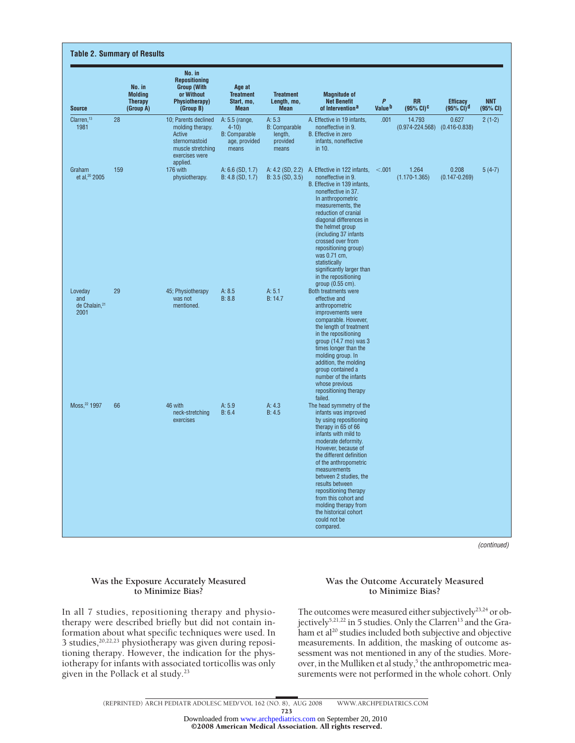| <b>Source</b>                                       | No. in<br><b>Molding</b><br><b>Therapy</b><br>(Group A) | No. in<br><b>Repositioning</b><br><b>Group (With)</b><br>or Without<br><b>Physiotherapy)</b><br>(Group B)              | Age at<br><b>Treatment</b><br>Start, mo,<br><b>Mean</b>                      | <b>Treatment</b><br>Length, mo,<br><b>Mean</b>                 | <b>Magnitude of</b><br><b>Net Benefit</b><br>of Intervention <sup>a</sup>                                                                                                                                                                                                                                                                                                                                                   | $\mathbf{P}$<br>Value <sup>b</sup> | <b>RR</b><br>$(95\% \text{ CI})$ <sup>C</sup>   | <b>Efficacy</b><br>(95% CI) <sup>d</sup> | <b>NNT</b><br>(95% CI) |
|-----------------------------------------------------|---------------------------------------------------------|------------------------------------------------------------------------------------------------------------------------|------------------------------------------------------------------------------|----------------------------------------------------------------|-----------------------------------------------------------------------------------------------------------------------------------------------------------------------------------------------------------------------------------------------------------------------------------------------------------------------------------------------------------------------------------------------------------------------------|------------------------------------|-------------------------------------------------|------------------------------------------|------------------------|
| Clarren. <sup>13</sup><br>1981                      | 28                                                      | 10: Parents declined<br>molding therapy.<br>Active<br>sternomastoid<br>muscle stretching<br>exercises were<br>applied. | A: 5.5 (range,<br>$4 - 10$<br><b>B:</b> Comparable<br>age, provided<br>means | A: 5.3<br><b>B:</b> Comparable<br>length,<br>provided<br>means | A. Effective in 19 infants.<br>noneffective in 9.<br>B. Effective in zero<br>infants, noneffective<br>in 10.                                                                                                                                                                                                                                                                                                                | .001                               | 14.793<br>$(0.974 - 224.568)$ $(0.416 - 0.838)$ | 0.627                                    | $2(1-2)$               |
| Graham<br>et al, <sup>20</sup> 2005                 | 159                                                     | 176 with<br>physiotherapy.                                                                                             | A: 6.6 (SD, 1.7)<br>B: 4.8 (SD, 1.7)                                         | B: 3.5 (SD, 3.5)                                               | A: 4.2 (SD, 2.2) A. Effective in 122 infants,<br>noneffective in 9.<br>B. Effective in 139 infants,<br>noneffective in 37.<br>In anthropometric<br>measurements, the<br>reduction of cranial<br>diagonal differences in<br>the helmet group<br>(including 37 infants<br>crossed over from<br>repositioning group)<br>was 0.71 cm,<br>statistically<br>significantly larger than<br>in the repositioning<br>group (0.55 cm). | < .001                             | 1.264<br>$(1.170 - 1.365)$                      | 0.208<br>$(0.147 - 0.269)$               | $5(4-7)$               |
| Loveday<br>and<br>de Chalain, <sup>21</sup><br>2001 | 29                                                      | 45; Physiotherapy<br>was not<br>mentioned.                                                                             | A: 8.5<br>B: 8.8                                                             | A: 5.1<br>B: 14.7                                              | Both treatments were<br>effective and<br>anthropometric<br>improvements were<br>comparable. However.<br>the length of treatment<br>in the repositioning<br>group $(14.7 \text{ mo})$ was 3<br>times longer than the<br>molding group. In<br>addition, the molding<br>group contained a<br>number of the infants<br>whose previous<br>repositioning therapy<br>failed.                                                       |                                    |                                                 |                                          |                        |
| Moss, <sup>22</sup> 1997                            | 66                                                      | 46 with<br>neck-stretching<br>exercises                                                                                | A: 5.9<br>B: 6.4                                                             | A: 4.3<br>B: 4.5                                               | The head symmetry of the<br>infants was improved<br>by using repositioning<br>therapy in 65 of 66<br>infants with mild to<br>moderate deformity.<br>However, because of<br>the different definition<br>of the anthropometric<br>measurements<br>between 2 studies, the<br>results between<br>repositioning therapy<br>from this cohort and<br>molding therapy from<br>the historical cohort<br>could not be<br>compared.    |                                    |                                                 |                                          |                        |

*(continued)*

## **Was the Exposure Accurately Measured to Minimize Bias?**

In all 7 studies, repositioning therapy and physiotherapy were described briefly but did not contain information about what specific techniques were used. In 3 studies, $20,22,23$  physiotherapy was given during repositioning therapy. However, the indication for the physiotherapy for infants with associated torticollis was only given in the Pollack et al study.<sup>23</sup>

## **Was the Outcome Accurately Measured to Minimize Bias?**

The outcomes were measured either subjectively<sup>23,24</sup> or objectively<sup>5,21,22</sup> in 5 studies. Only the Clarren<sup>13</sup> and the Graham et al<sup>20</sup> studies included both subjective and objective measurements. In addition, the masking of outcome assessment was not mentioned in any of the studies. Moreover, in the Mulliken et al study,<sup>5</sup> the anthropometric measurements were not performed in the whole cohort. Only

<sup>(</sup>REPRINTED) ARCH PEDIATR ADOLESC MED/ VOL 162 (NO. 8), AUG 2008 WWW.ARCHPEDIATRICS.COM 723 ©2008 American Medical Association. All rights reserved. Downloaded from [www.archpediatrics.com](http://www.archpediatrics.com) on September 20, 2010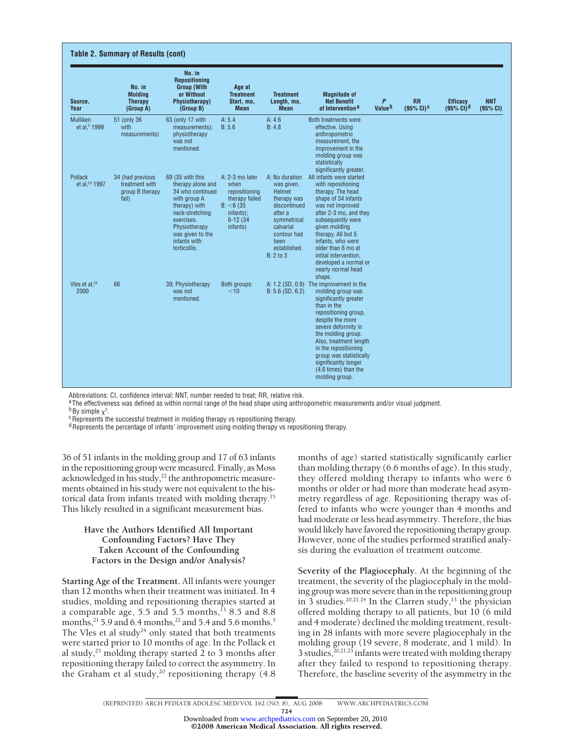| Source,<br>Year                             | No. in<br><b>Molding</b><br><b>Therapy</b><br>(Group A)        | No. in<br><b>Repositioning</b><br><b>Group (With</b><br>or Without<br>Physiotherapy)<br>(Group B)                                                                                                | Age at<br><b>Treatment</b><br>Start, mo,<br><b>Mean</b>                                                         | <b>Treatment</b><br>Length, mo,<br><b>Mean</b>                                                                                                                           | <b>Magnitude of</b><br><b>Net Benefit</b><br>of Intervention <sup>a</sup>                                                                                                                                                                                                                                                                    | P<br>Value <sup>b</sup> | <b>RR</b><br>$(95\% \text{ CI})$ <sup>C</sup> | <b>Efficacy</b><br>$(95\% \text{ C}I)^d$ | <b>NNT</b><br>(95% CI) |
|---------------------------------------------|----------------------------------------------------------------|--------------------------------------------------------------------------------------------------------------------------------------------------------------------------------------------------|-----------------------------------------------------------------------------------------------------------------|--------------------------------------------------------------------------------------------------------------------------------------------------------------------------|----------------------------------------------------------------------------------------------------------------------------------------------------------------------------------------------------------------------------------------------------------------------------------------------------------------------------------------------|-------------------------|-----------------------------------------------|------------------------------------------|------------------------|
| Mulliken<br>et al, <sup>5</sup> 1999        | 51 (only 36<br>with<br>measurements)                           | 63 (only 17 with<br>measurements);<br>physiotherapy<br>was not<br>mentioned.                                                                                                                     | A: 5.4<br>B: 5.6                                                                                                | A: 4.6<br>B: 4.8                                                                                                                                                         | Both treatments were<br>effective. Using<br>anthropometric<br>measurement, the<br>improvement in the<br>molding group was<br>statistically<br>significantly greater.                                                                                                                                                                         |                         |                                               |                                          |                        |
| <b>Pollack</b><br>et al, <sup>23</sup> 1997 | 34 (had previous<br>treatment with<br>group B therapy<br>fail) | 69 (35 with this<br>therapy alone and<br>34 who continued<br>with group A<br>therapy) with<br>neck-stretching<br>exercises.<br>Physiotherapy<br>was given to the<br>infants with<br>torticollis. | A: 2-3 mo later<br>when<br>repositioning<br>therapy failed<br>B: < 6(35)<br>infants);<br>$6-12(34)$<br>infants) | A: No duration<br>was given.<br>Helmet<br>therapy was<br>discontinued<br>after a<br>symmetrical<br>calvarial<br>contour had<br>been<br>established.<br><b>B</b> : 2 to 3 | All infants were started<br>with repositioning<br>therapy. The head<br>shape of 34 infants<br>was not improved<br>after 2-3 mo, and they<br>subsequently were<br>given molding<br>therapy. All but 5<br>infants, who were<br>older than 6 mo at<br>initial intervention.<br>developed a normal or<br>nearly normal head<br>shape.            |                         |                                               |                                          |                        |
| Vies et al, <sup>24</sup><br>2000           | 66                                                             | 39: Physiotherapy<br>was not<br>mentioned.                                                                                                                                                       | Both groups:<br>$<$ 10                                                                                          | $B: 5.6$ (SD, 6.2)                                                                                                                                                       | A: 1.2 (SD, 0.9) The improvement in the<br>molding group was<br>significantly greater<br>than in the<br>repositioning group,<br>despite the more<br>severe deformity in<br>the molding group.<br>Also, treatment length<br>in the repositioning<br>group was statistically<br>significantly longer<br>(4.6 times) than the<br>molding group. |                         |                                               |                                          |                        |

Abbreviations: CI, confidence interval; NNT, number needed to treat; RR, relative risk.

aThe effectiveness was defined as within normal range of the head shape using anthropometric measurements and/or visual judgment.

 $b$ By simple  $\chi^2$ .

 $c$ Represents the successful treatment in molding therapy vs repositioning therapy.

 $d$ Represents the percentage of infants' improvement using molding therapy vs repositioning therapy.

36 of 51 infants in the molding group and 17 of 63 infants in the repositioning group were measured. Finally, as Moss acknowledged in his study,<sup>22</sup> the anthropometric measurements obtained in his study were not equivalent to the historical data from infants treated with molding therapy.15 This likely resulted in a significant measurement bias.

## **Have the Authors Identified All Important Confounding Factors? Have They Taken Account of the Confounding Factors in the Design and/or Analysis?**

**Starting Age of the Treatment.** All infants were younger than 12 months when their treatment was initiated. In 4 studies, molding and repositioning therapies started at a comparable age, 5.5 and 5.5 months, $^{13}$  8.5 and 8.8 months,  $21$  5.9 and 6.4 months,  $22$  and 5.4 and 5.6 months.<sup>5</sup> The Vles et al study<sup>24</sup> only stated that both treatments were started prior to 10 months of age. In the Pollack et al study, $^{23}$  molding therapy started 2 to 3 months after repositioning therapy failed to correct the asymmetry. In the Graham et al study,<sup>20</sup> repositioning therapy  $(4.8)$ 

months of age) started statistically significantly earlier than molding therapy (6.6 months of age). In this study, they offered molding therapy to infants who were 6 months or older or had more than moderate head asymmetry regardless of age. Repositioning therapy was offered to infants who were younger than 4 months and had moderate or less head asymmetry. Therefore, the bias would likely have favored the repositioning therapy group. However, none of the studies performed stratified analysis during the evaluation of treatment outcome.

**Severity of the Plagiocephaly.** At the beginning of the treatment, the severity of the plagiocephaly in the molding group was more severe than in the repositioning group in  $\overline{3}$  studies.<sup>20,21,24</sup> In the Clarren study,<sup>13</sup> the physician offered molding therapy to all patients, but 10 (6 mild and 4 moderate) declined the molding treatment, resulting in 28 infants with more severe plagiocephaly in the molding group (19 severe, 8 moderate, and 1 mild). In 3 studies,  $\frac{30,21,23}{2}$  infants were treated with molding therapy after they failed to respond to repositioning therapy. Therefore, the baseline severity of the asymmetry in the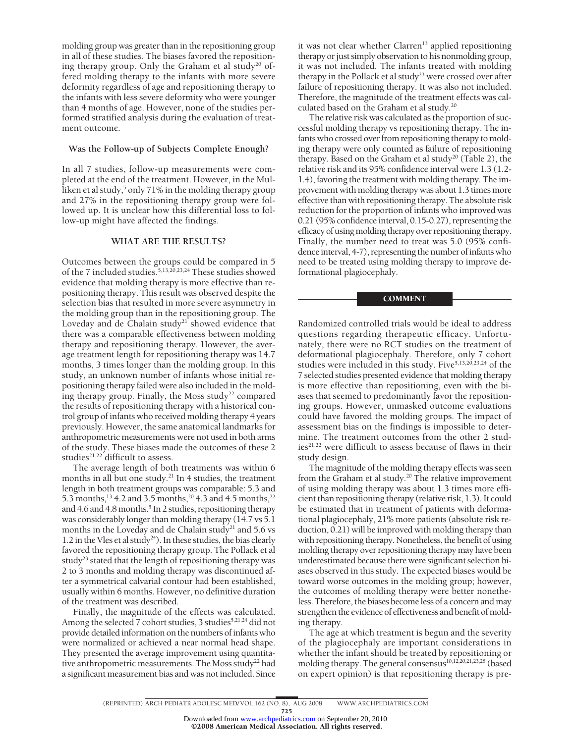molding group was greater than in the repositioning group in all of these studies. The biases favored the repositioning therapy group. Only the Graham et al study<sup>20</sup> offered molding therapy to the infants with more severe deformity regardless of age and repositioning therapy to the infants with less severe deformity who were younger than 4 months of age. However, none of the studies performed stratified analysis during the evaluation of treatment outcome.

## **Was the Follow-up of Subjects Complete Enough?**

In all 7 studies, follow-up measurements were completed at the end of the treatment. However, in the Mulliken et al study,<sup>5</sup> only 71% in the molding therapy group and 27% in the repositioning therapy group were followed up. It is unclear how this differential loss to follow-up might have affected the findings.

## **WHAT ARE THE RESULTS?**

Outcomes between the groups could be compared in 5 of the 7 included studies.5,13,20,23,24 These studies showed evidence that molding therapy is more effective than repositioning therapy. This result was observed despite the selection bias that resulted in more severe asymmetry in the molding group than in the repositioning group. The Loveday and de Chalain study<sup>21</sup> showed evidence that there was a comparable effectiveness between molding therapy and repositioning therapy. However, the average treatment length for repositioning therapy was 14.7 months, 3 times longer than the molding group. In this study, an unknown number of infants whose initial repositioning therapy failed were also included in the molding therapy group. Finally, the Moss study<sup>22</sup> compared the results of repositioning therapy with a historical control group of infants who received molding therapy 4 years previously. However, the same anatomical landmarks for anthropometric measurements were not used in both arms of the study. These biases made the outcomes of these 2 studies<sup>21,22</sup> difficult to assess.

The average length of both treatments was within 6 months in all but one study.<sup>21</sup> In 4 studies, the treatment length in both treatment groups was comparable: 5.3 and 5.3 months,<sup>13</sup> 4.2 and 3.5 months,<sup>20</sup> 4.3 and 4.5 months,<sup>22</sup> and 4.6 and 4.8 months.<sup>5</sup> In 2 studies, repositioning therapy was considerably longer than molding therapy (14.7 vs 5.1 months in the Loveday and de Chalain study<sup>21</sup> and 5.6 vs 1.2 in the Vles et al study<sup>24</sup>). In these studies, the bias clearly favored the repositioning therapy group. The Pollack et al study<sup>23</sup> stated that the length of repositioning therapy was 2 to 3 months and molding therapy was discontinued after a symmetrical calvarial contour had been established, usually within 6 months. However, no definitive duration of the treatment was described.

Finally, the magnitude of the effects was calculated. Among the selected 7 cohort studies, 3 studies<sup>5,21,24</sup> did not provide detailed information on the numbers of infants who were normalized or achieved a near normal head shape. They presented the average improvement using quantitative anthropometric measurements. The Moss study<sup>22</sup> had a significant measurement bias and was not included. Since it was not clear whether Clarren<sup>13</sup> applied repositioning therapy or just simply observation to his nonmolding group, it was not included. The infants treated with molding therapy in the Pollack et al study<sup>23</sup> were crossed over after failure of repositioning therapy. It was also not included. Therefore, the magnitude of the treatment effects was calculated based on the Graham et al study.<sup>20</sup>

The relative risk was calculated as the proportion of successful molding therapy vs repositioning therapy. The infants who crossed over from repositioning therapy to molding therapy were only counted as failure of repositioning therapy. Based on the Graham et al study<sup>20</sup> (Table 2), the relative risk and its 95% confidence interval were 1.3 (1.2- 1.4), favoring the treatment with molding therapy. The improvement with molding therapy was about 1.3 times more effective than with repositioning therapy. The absolute risk reduction for the proportion of infants who improved was 0.21 (95% confidence interval, 0.15-0.27), representing the efficacy of using molding therapy over repositioning therapy. Finally, the number need to treat was 5.0 (95% confidence interval, 4-7), representing the number of infants who need to be treated using molding therapy to improve deformational plagiocephaly.

## COMMENT

Randomized controlled trials would be ideal to address questions regarding therapeutic efficacy. Unfortunately, there were no RCT studies on the treatment of deformational plagiocephaly. Therefore, only 7 cohort studies were included in this study. Five<sup>5,13,20,23,24</sup> of the 7 selected studies presented evidence that molding therapy is more effective than repositioning, even with the biases that seemed to predominantly favor the repositioning groups. However, unmasked outcome evaluations could have favored the molding groups. The impact of assessment bias on the findings is impossible to determine. The treatment outcomes from the other 2 studies<sup>21,22</sup> were difficult to assess because of flaws in their study design.

The magnitude of the molding therapy effects was seen from the Graham et al study.<sup>20</sup> The relative improvement of using molding therapy was about 1.3 times more efficient than repositioning therapy (relative risk, 1.3). It could be estimated that in treatment of patients with deformational plagiocephaly, 21% more patients (absolute risk reduction, 0.21) will be improved with molding therapy than with repositioning therapy. Nonetheless, the benefit of using molding therapy over repositioning therapy may have been underestimated because there were significant selection biases observed in this study. The expected biases would be toward worse outcomes in the molding group; however, the outcomes of molding therapy were better nonetheless. Therefore, the biases become less of a concern and may strengthen the evidence of effectiveness and benefit of molding therapy.

The age at which treatment is begun and the severity of the plagiocephaly are important considerations in whether the infant should be treated by repositioning or molding therapy. The general consensus<sup>10,12,20,21,23,28</sup> (based on expert opinion) is that repositioning therapy is pre-

725

<sup>(</sup>REPRINTED) ARCH PEDIATR ADOLESC MED/ VOL 162 (NO. 8), AUG 2008 WWW.ARCHPEDIATRICS.COM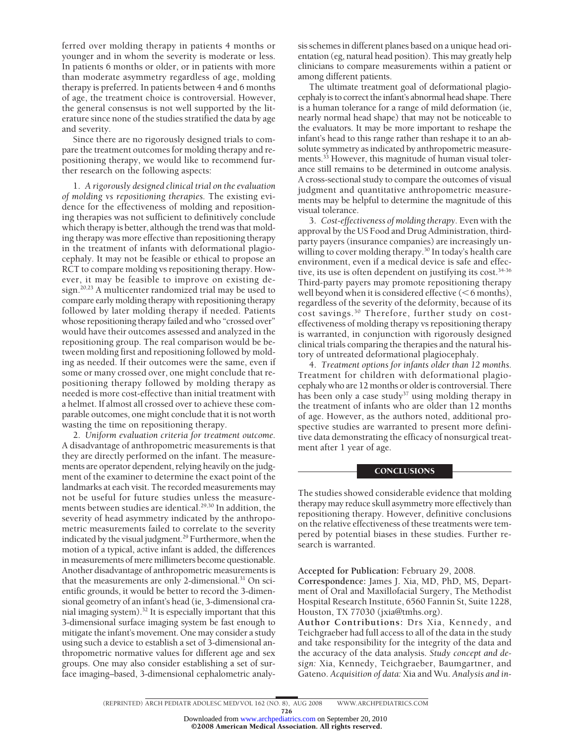ferred over molding therapy in patients 4 months or younger and in whom the severity is moderate or less. In patients 6 months or older, or in patients with more than moderate asymmetry regardless of age, molding therapy is preferred. In patients between 4 and 6 months of age, the treatment choice is controversial. However, the general consensus is not well supported by the literature since none of the studies stratified the data by age and severity.

Since there are no rigorously designed trials to compare the treatment outcomes for molding therapy and repositioning therapy, we would like to recommend further research on the following aspects:

1. *A rigorously designed clinical trial on the evaluation of molding vs repositioning therapies.* The existing evidence for the effectiveness of molding and repositioning therapies was not sufficient to definitively conclude which therapy is better, although the trend was that molding therapy was more effective than repositioning therapy in the treatment of infants with deformational plagiocephaly. It may not be feasible or ethical to propose an RCT to compare molding vs repositioning therapy. However, it may be feasible to improve on existing design.20,23 A multicenter randomized trial may be used to compare early molding therapy with repositioning therapy followed by later molding therapy if needed. Patients whose repositioning therapy failed and who "crossed over" would have their outcomes assessed and analyzed in the repositioning group. The real comparison would be between molding first and repositioning followed by molding as needed. If their outcomes were the same, even if some or many crossed over, one might conclude that repositioning therapy followed by molding therapy as needed is more cost-effective than initial treatment with a helmet. If almost all crossed over to achieve these comparable outcomes, one might conclude that it is not worth wasting the time on repositioning therapy.

2. *Uniform evaluation criteria for treatment outcome.* A disadvantage of anthropometric measurements is that they are directly performed on the infant. The measurements are operator dependent, relying heavily on the judgment of the examiner to determine the exact point of the landmarks at each visit. The recorded measurements may not be useful for future studies unless the measurements between studies are identical.<sup>29,30</sup> In addition, the severity of head asymmetry indicated by the anthropometric measurements failed to correlate to the severity indicated by the visual judgment.<sup>29</sup> Furthermore, when the motion of a typical, active infant is added, the differences in measurements of mere millimeters become questionable. Another disadvantage of anthropometric measurements is that the measurements are only 2-dimensional.<sup>31</sup> On scientific grounds, it would be better to record the 3-dimensional geometry of an infant's head (ie, 3-dimensional cranial imaging system).32 It is especially important that this 3-dimensional surface imaging system be fast enough to mitigate the infant's movement. One may consider a study using such a device to establish a set of 3-dimensional anthropometric normative values for different age and sex groups. One may also consider establishing a set of surface imaging–based, 3-dimensional cephalometric analysis schemes in different planes based on a unique head orientation (eg, natural head position). This may greatly help clinicians to compare measurements within a patient or among different patients.

The ultimate treatment goal of deformational plagiocephaly is to correct the infant's abnormal head shape. There is a human tolerance for a range of mild deformation (ie, nearly normal head shape) that may not be noticeable to the evaluators. It may be more important to reshape the infant's head to this range rather than reshape it to an absolute symmetry as indicated by anthropometric measurements.<sup>33</sup> However, this magnitude of human visual tolerance still remains to be determined in outcome analysis. A cross-sectional study to compare the outcomes of visual judgment and quantitative anthropometric measurements may be helpful to determine the magnitude of this visual tolerance.

3. *Cost-effectiveness of molding therapy.* Even with the approval by the US Food and Drug Administration, thirdparty payers (insurance companies) are increasingly unwilling to cover molding therapy.<sup>30</sup> In today's health care environment, even if a medical device is safe and effective, its use is often dependent on justifying its cost.<sup>34-36</sup> Third-party payers may promote repositioning therapy well beyond when it is considered effective  $(< 6$  months), regardless of the severity of the deformity, because of its cost savings.30 Therefore, further study on costeffectiveness of molding therapy vs repositioning therapy is warranted, in conjunction with rigorously designed clinical trials comparing the therapies and the natural history of untreated deformational plagiocephaly.

4. *Treatment options for infants older than 12 months.* Treatment for children with deformational plagiocephaly who are 12 months or older is controversial. There has been only a case study<sup>37</sup> using molding therapy in the treatment of infants who are older than 12 months of age. However, as the authors noted, additional prospective studies are warranted to present more definitive data demonstrating the efficacy of nonsurgical treatment after 1 year of age.

## **CONCLUSIONS**

The studies showed considerable evidence that molding therapy may reduce skull asymmetry more effectively than repositioning therapy. However, definitive conclusions on the relative effectiveness of these treatments were tempered by potential biases in these studies. Further research is warranted.

**Accepted for Publication:** February 29, 2008.

**Correspondence:** James J. Xia, MD, PhD, MS, Department of Oral and Maxillofacial Surgery, The Methodist Hospital Research Institute, 6560 Fannin St, Suite 1228, Houston, TX 77030 (jxia@tmhs.org).

**Author Contributions:** Drs Xia, Kennedy, and Teichgraeber had full access to all of the data in the study and take responsibility for the integrity of the data and the accuracy of the data analysis. *Study concept and design:* Xia, Kennedy, Teichgraeber, Baumgartner, and Gateno. *Acquisition of data:* Xia and Wu. *Analysis and in-*

726